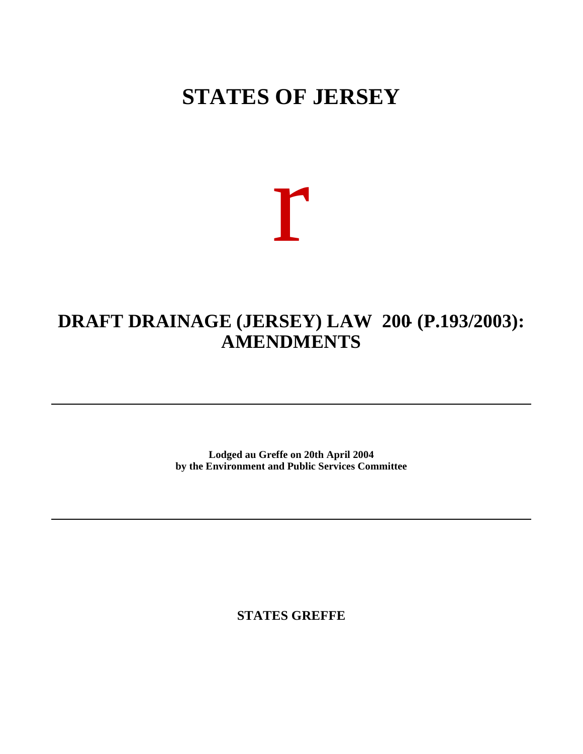## **STATES OF JERSEY**

# r

### **DRAFT DRAINAGE (JERSEY) LAW 200- (P.193/2003): AMENDMENTS**

**Lodged au Greffe on 20th April 2004 by the Environment and Public Services Committee**

**STATES GREFFE**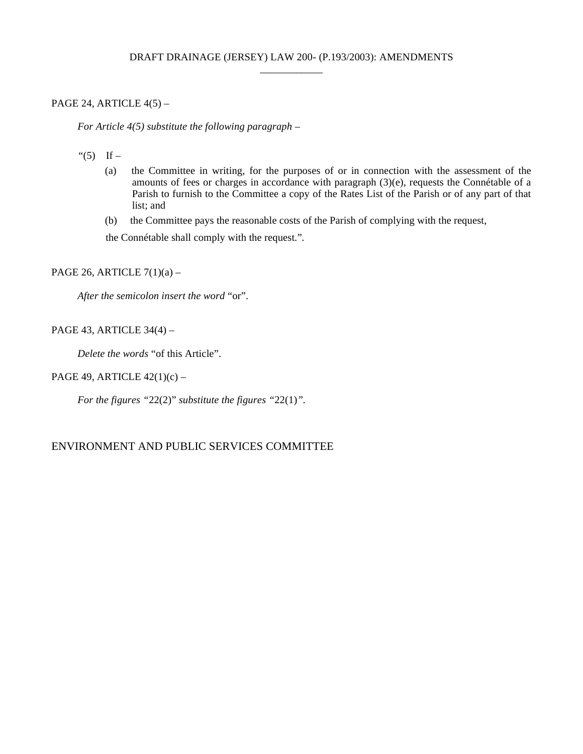#### PAGE 24, ARTICLE 4(5) –

 *For Article 4(5) substitute the following paragraph –*

- "(5) If  $-$ 
	- (a) the Committee in writing, for the purposes of or in connection with the assessment of the amounts of fees or charges in accordance with paragraph (3)(e), requests the Connétable of a Parish to furnish to the Committee a copy of the Rates List of the Parish or of any part of that list; and
	- (b) the Committee pays the reasonable costs of the Parish of complying with the request,

the Connétable shall comply with the request."*.*

PAGE 26, ARTICLE  $7(1)(a)$  –

*After the semicolon insert the word* "or".

PAGE 43, ARTICLE 34(4) –

*Delete the words* "of this Article".

#### PAGE 49, ARTICLE 42(1)(c) –

*For the figures "*22(2)" *substitute the figures "*22(1)*".*

#### ENVIRONMENT AND PUBLIC SERVICES COMMITTEE